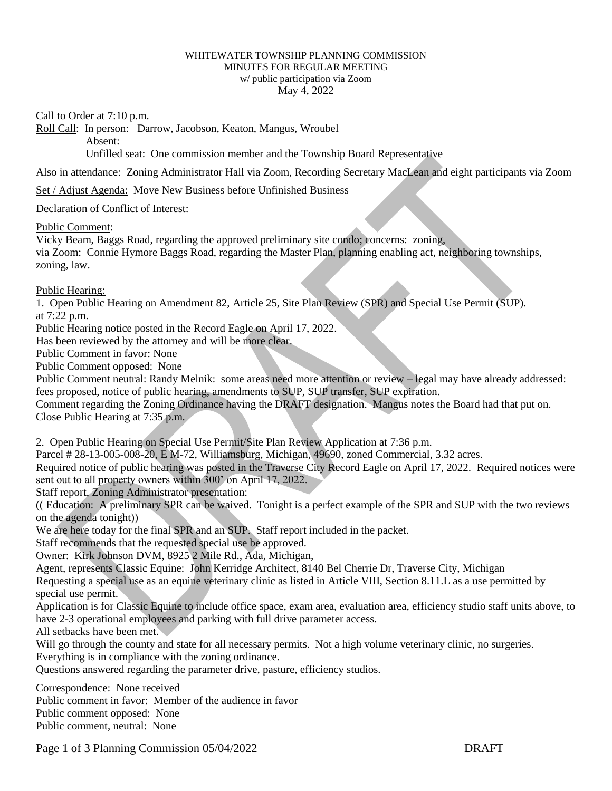## WHITEWATER TOWNSHIP PLANNING COMMISSION MINUTES FOR REGULAR MEETING w/ public participation via Zoom May 4, 2022

Call to Order at 7:10 p.m.

Roll Call: In person: Darrow, Jacobson, Keaton, Mangus, Wroubel

Absent:

Unfilled seat: One commission member and the Township Board Representative

Also in attendance: Zoning Administrator Hall via Zoom, Recording Secretary MacLean and eight participants via Zoom

Set / Adjust Agenda: Move New Business before Unfinished Business

## Declaration of Conflict of Interest:

Public Comment:

Vicky Beam, Baggs Road, regarding the approved preliminary site condo; concerns: zoning, via Zoom: Connie Hymore Baggs Road, regarding the Master Plan, planning enabling act, neighboring townships, zoning, law.

Public Hearing:

1. Open Public Hearing on Amendment 82, Article 25, Site Plan Review (SPR) and Special Use Permit (SUP). at 7:22 p.m.

Public Hearing notice posted in the Record Eagle on April 17, 2022.

Has been reviewed by the attorney and will be more clear.

Public Comment in favor: None

Public Comment opposed: None

Public Comment neutral: Randy Melnik: some areas need more attention or review – legal may have already addressed: fees proposed, notice of public hearing, amendments to SUP, SUP transfer, SUP expiration.

Comment regarding the Zoning Ordinance having the DRAFT designation. Mangus notes the Board had that put on. Close Public Hearing at 7:35 p.m.

2. Open Public Hearing on Special Use Permit/Site Plan Review Application at 7:36 p.m.

Parcel # 28-13-005-008-20, E M-72, Williamsburg, Michigan, 49690, zoned Commercial, 3.32 acres.

Required notice of public hearing was posted in the Traverse City Record Eagle on April 17, 2022. Required notices were sent out to all property owners within 300' on April 17, 2022.

Staff report, Zoning Administrator presentation:

(( Education: A preliminary SPR can be waived. Tonight is a perfect example of the SPR and SUP with the two reviews on the agenda tonight))

We are here today for the final SPR and an SUP. Staff report included in the packet.

Staff recommends that the requested special use be approved.

Owner: Kirk Johnson DVM, 8925 2 Mile Rd., Ada, Michigan,

Agent, represents Classic Equine: John Kerridge Architect, 8140 Bel Cherrie Dr, Traverse City, Michigan Requesting a special use as an equine veterinary clinic as listed in Article VIII, Section 8.11.L as a use permitted by special use permit.

Application is for Classic Equine to include office space, exam area, evaluation area, efficiency studio staff units above, to have 2-3 operational employees and parking with full drive parameter access.

All setbacks have been met.

Will go through the county and state for all necessary permits. Not a high volume veterinary clinic, no surgeries. Everything is in compliance with the zoning ordinance.

Questions answered regarding the parameter drive, pasture, efficiency studios.

Correspondence: None received Public comment in favor: Member of the audience in favor Public comment opposed: None Public comment, neutral: None

Page 1 of 3 Planning Commission 05/04/2022 DRAFT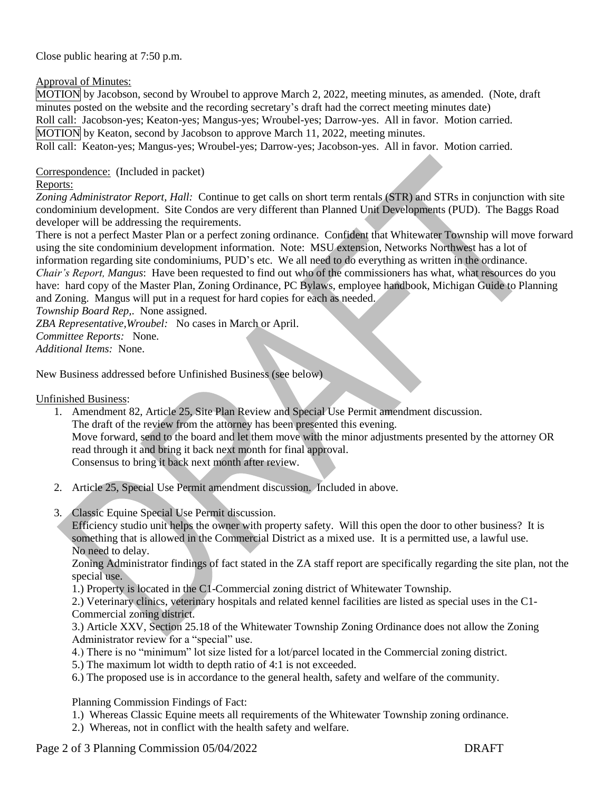Close public hearing at 7:50 p.m.

Approval of Minutes:

MOTION by Jacobson, second by Wroubel to approve March 2, 2022, meeting minutes, as amended. (Note, draft minutes posted on the website and the recording secretary's draft had the correct meeting minutes date) Roll call: Jacobson-yes; Keaton-yes; Mangus-yes; Wroubel-yes; Darrow-yes. All in favor. Motion carried. MOTION by Keaton, second by Jacobson to approve March 11, 2022, meeting minutes. Roll call: Keaton-yes; Mangus-yes; Wroubel-yes; Darrow-yes; Jacobson-yes. All in favor. Motion carried.

Correspondence: (Included in packet)

## Reports:

*Zoning Administrator Report, Hall:* Continue to get calls on short term rentals (STR) and STRs in conjunction with site condominium development. Site Condos are very different than Planned Unit Developments (PUD). The Baggs Road developer will be addressing the requirements.

There is not a perfect Master Plan or a perfect zoning ordinance. Confident that Whitewater Township will move forward using the site condominium development information. Note: MSU extension, Networks Northwest has a lot of information regarding site condominiums, PUD's etc. We all need to do everything as written in the ordinance. *Chair's Report, Mangus*: Have been requested to find out who of the commissioners has what, what resources do you have: hard copy of the Master Plan, Zoning Ordinance, PC Bylaws, employee handbook, Michigan Guide to Planning and Zoning. Mangus will put in a request for hard copies for each as needed.

*Township Board Rep,*. None assigned.

*ZBA Representative,Wroubel:* No cases in March or April.

*Committee Reports:* None.

*Additional Items:* None.

New Business addressed before Unfinished Business (see below)

Unfinished Business:

- 1. Amendment 82, Article 25, Site Plan Review and Special Use Permit amendment discussion. The draft of the review from the attorney has been presented this evening. Move forward, send to the board and let them move with the minor adjustments presented by the attorney OR read through it and bring it back next month for final approval. Consensus to bring it back next month after review.
- 2. Article 25, Special Use Permit amendment discussion. Included in above.
- 3. Classic Equine Special Use Permit discussion.

Efficiency studio unit helps the owner with property safety. Will this open the door to other business? It is something that is allowed in the Commercial District as a mixed use. It is a permitted use, a lawful use. No need to delay.

Zoning Administrator findings of fact stated in the ZA staff report are specifically regarding the site plan, not the special use.

1.) Property is located in the C1-Commercial zoning district of Whitewater Township.

2.) Veterinary clinics, veterinary hospitals and related kennel facilities are listed as special uses in the C1- Commercial zoning district.

3.) Article XXV, Section 25.18 of the Whitewater Township Zoning Ordinance does not allow the Zoning Administrator review for a "special" use.

4.) There is no "minimum" lot size listed for a lot/parcel located in the Commercial zoning district.

- 5.) The maximum lot width to depth ratio of 4:1 is not exceeded.
- 6.) The proposed use is in accordance to the general health, safety and welfare of the community.

Planning Commission Findings of Fact:

- 1.) Whereas Classic Equine meets all requirements of the Whitewater Township zoning ordinance.
- 2.) Whereas, not in conflict with the health safety and welfare.